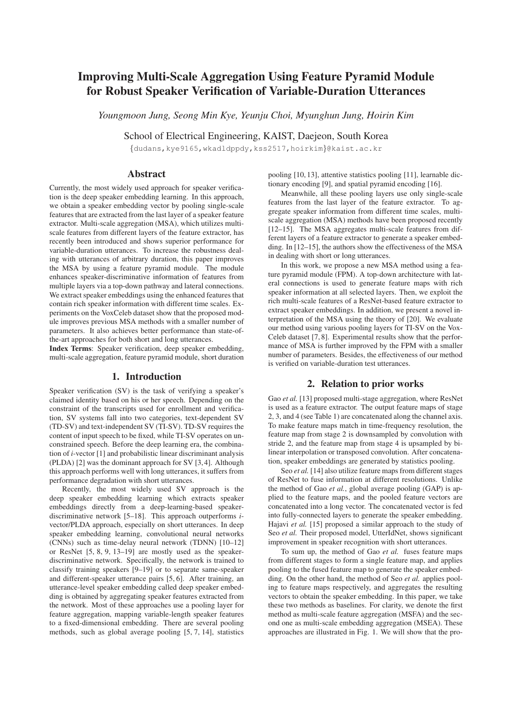# Improving Multi-Scale Aggregation Using Feature Pyramid Module for Robust Speaker Verification of Variable-Duration Utterances

*Youngmoon Jung, Seong Min Kye, Yeunju Choi, Myunghun Jung, Hoirin Kim*

School of Electrical Engineering, KAIST, Daejeon, South Korea

{dudans,kye9165,wkadldppdy,kss2517,hoirkim}@kaist.ac.kr

# Abstract

Currently, the most widely used approach for speaker verification is the deep speaker embedding learning. In this approach, we obtain a speaker embedding vector by pooling single-scale features that are extracted from the last layer of a speaker feature extractor. Multi-scale aggregation (MSA), which utilizes multiscale features from different layers of the feature extractor, has recently been introduced and shows superior performance for variable-duration utterances. To increase the robustness dealing with utterances of arbitrary duration, this paper improves the MSA by using a feature pyramid module. The module enhances speaker-discriminative information of features from multiple layers via a top-down pathway and lateral connections. We extract speaker embeddings using the enhanced features that contain rich speaker information with different time scales. Experiments on the VoxCeleb dataset show that the proposed module improves previous MSA methods with a smaller number of parameters. It also achieves better performance than state-ofthe-art approaches for both short and long utterances.

Index Terms: Speaker verification, deep speaker embedding, multi-scale aggregation, feature pyramid module, short duration

### 1. Introduction

Speaker verification (SV) is the task of verifying a speaker's claimed identity based on his or her speech. Depending on the constraint of the transcripts used for enrollment and verification, SV systems fall into two categories, text-dependent SV (TD-SV) and text-independent SV (TI-SV). TD-SV requires the content of input speech to be fixed, while TI-SV operates on unconstrained speech. Before the deep learning era, the combination of *i*-vector [1] and probabilistic linear discriminant analysis (PLDA) [2] was the dominant approach for SV [3, 4]. Although this approach performs well with long utterances, it suffers from performance degradation with short utterances.

Recently, the most widely used SV approach is the deep speaker embedding learning which extracts speaker embeddings directly from a deep-learning-based speakerdiscriminative network [5–18]. This approach outperforms *i*vector/PLDA approach, especially on short utterances. In deep speaker embedding learning, convolutional neural networks (CNNs) such as time-delay neural network (TDNN) [10–12] or ResNet [5, 8, 9, 13–19] are mostly used as the speakerdiscriminative network. Specifically, the network is trained to classify training speakers [9–19] or to separate same-speaker and different-speaker utterance pairs [5, 6]. After training, an utterance-level speaker embedding called deep speaker embedding is obtained by aggregating speaker features extracted from the network. Most of these approaches use a pooling layer for feature aggregation, mapping variable-length speaker features to a fixed-dimensional embedding. There are several pooling methods, such as global average pooling [5, 7, 14], statistics pooling [10, 13], attentive statistics pooling [11], learnable dictionary encoding [9], and spatial pyramid encoding [16].

Meanwhile, all these pooling layers use only single-scale features from the last layer of the feature extractor. To aggregate speaker information from different time scales, multiscale aggregation (MSA) methods have been proposed recently [12–15]. The MSA aggregates multi-scale features from different layers of a feature extractor to generate a speaker embedding. In [12–15], the authors show the effectiveness of the MSA in dealing with short or long utterances.

In this work, we propose a new MSA method using a feature pyramid module (FPM). A top-down architecture with lateral connections is used to generate feature maps with rich speaker information at all selected layers. Then, we exploit the rich multi-scale features of a ResNet-based feature extractor to extract speaker embeddings. In addition, we present a novel interpretation of the MSA using the theory of [20]. We evaluate our method using various pooling layers for TI-SV on the Vox-Celeb dataset [7, 8]. Experimental results show that the performance of MSA is further improved by the FPM with a smaller number of parameters. Besides, the effectiveness of our method is verified on variable-duration test utterances.

# 2. Relation to prior works

Gao *et al.* [13] proposed multi-stage aggregation, where ResNet is used as a feature extractor. The output feature maps of stage 2, 3, and 4 (see Table 1) are concatenated along the channel axis. To make feature maps match in time-frequency resolution, the feature map from stage 2 is downsampled by convolution with stride 2, and the feature map from stage 4 is upsampled by bilinear interpolation or transposed convolution. After concatenation, speaker embeddings are generated by statistics pooling.

Seo *et al.* [14] also utilize feature maps from different stages of ResNet to fuse information at different resolutions. Unlike the method of Gao *et al.*, global average pooling (GAP) is applied to the feature maps, and the pooled feature vectors are concatenated into a long vector. The concatenated vector is fed into fully-connected layers to generate the speaker embedding. Hajavi *et al.* [15] proposed a similar approach to the study of Seo *et al.* Their proposed model, UtterIdNet, shows significant improvement in speaker recognition with short utterances.

To sum up, the method of Gao *et al.* fuses feature maps from different stages to form a single feature map, and applies pooling to the fused feature map to generate the speaker embedding. On the other hand, the method of Seo *et al.* applies pooling to feature maps respectively, and aggregates the resulting vectors to obtain the speaker embedding. In this paper, we take these two methods as baselines. For clarity, we denote the first method as multi-scale feature aggregation (MSFA) and the second one as multi-scale embedding aggregation (MSEA). These approaches are illustrated in Fig. 1. We will show that the pro-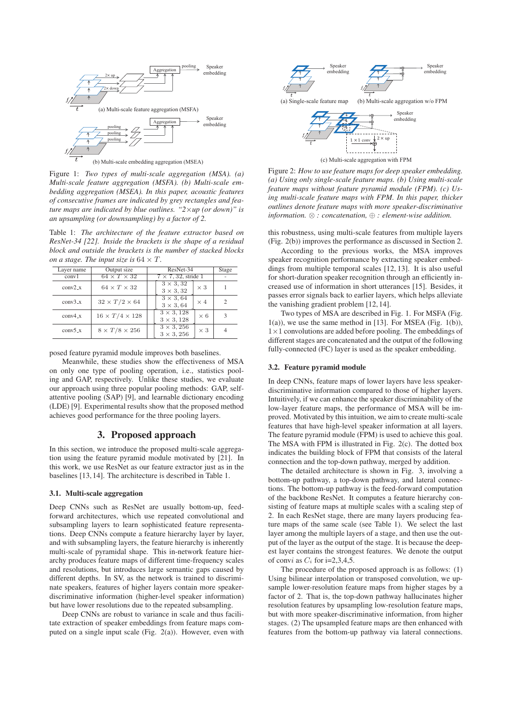

Figure 1: *Two types of multi-scale aggregation (MSA). (a) Multi-scale feature aggregation (MSFA). (b) Multi-scale embedding aggregation (MSEA). In this paper, acoustic features of consecutive frames are indicated by grey rectangles and feature maps are indicated by blue outlines. "2*×*up (or down)" is an upsampling (or downsampling) by a factor of 2.*

Table 1: *The architecture of the feature extractor based on ResNet-34 [22]. Inside the brackets is the shape of a residual block and outside the brackets is the number of stacked blocks on a stage. The input size is*  $64 \times T$ *.* 

| Layer name | Output size                | ResNet-34                                            | Stage |
|------------|----------------------------|------------------------------------------------------|-------|
| conv1      | $64 \times T \times 32$    | $7 \times 7$ , 32, stride 1                          |       |
| $conv2_x$  | $64 \times T \times 32$    | $3 \times 3,32$<br>$\times 3$<br>$3 \times 3, 32$    |       |
| $conv3_x$  | $32 \times T/2 \times 64$  | $3 \times 3,64$<br>$\times$ 4<br>$3 \times 3,64$     |       |
| $conv4_x$  | $16 \times T/4 \times 128$ | $3 \times 3,128$<br>$\times 6$<br>$3 \times 3, 128$  | 3     |
| $conv5_x$  | $8 \times T/8 \times 256$  | $3 \times 3, 256$<br>$\times$ 3<br>$3 \times 3, 256$ |       |

posed feature pyramid module improves both baselines.

Meanwhile, these studies show the effectiveness of MSA on only one type of pooling operation, i.e., statistics pooling and GAP, respectively. Unlike these studies, we evaluate our approach using three popular pooling methods: GAP, selfattentive pooling (SAP) [9], and learnable dictionary encoding (LDE) [9]. Experimental results show that the proposed method achieves good performance for the three pooling layers.

# 3. Proposed approach

In this section, we introduce the proposed multi-scale aggregation using the feature pyramid module motivated by [21]. In this work, we use ResNet as our feature extractor just as in the baselines [13, 14]. The architecture is described in Table 1.

## 3.1. Multi-scale aggregation

Deep CNNs such as ResNet are usually bottom-up, feedforward architectures, which use repeated convolutional and subsampling layers to learn sophisticated feature representations. Deep CNNs compute a feature hierarchy layer by layer, and with subsampling layers, the feature hierarchy is inherently multi-scale of pyramidal shape. This in-network feature hierarchy produces feature maps of different time-frequency scales and resolutions, but introduces large semantic gaps caused by different depths. In SV, as the network is trained to discriminate speakers, features of higher layers contain more speakerdiscriminative information (higher-level speaker information) but have lower resolutions due to the repeated subsampling.

Deep CNNs are robust to variance in scale and thus facilitate extraction of speaker embeddings from feature maps computed on a single input scale (Fig. 2(a)). However, even with



Figure 2: *How to use feature maps for deep speaker embedding. (a) Using only single-scale feature maps. (b) Using multi-scale feature maps without feature pyramid module (FPM). (c) Using multi-scale feature maps with FPM. In this paper, thicker outlines denote feature maps with more speaker-discriminative information.* ⊗ *: concatenation,* ⊕ *: element-wise addition.*

this robustness, using multi-scale features from multiple layers (Fig. 2(b)) improves the performance as discussed in Section 2.

According to the previous works, the MSA improves speaker recognition performance by extracting speaker embeddings from multiple temporal scales [12, 13]. It is also useful for short-duration speaker recognition through an efficiently increased use of information in short utterances [15]. Besides, it passes error signals back to earlier layers, which helps alleviate the vanishing gradient problem [12, 14].

Two types of MSA are described in Fig. 1. For MSFA (Fig.  $1(a)$ ), we use the same method in [13]. For MSEA (Fig. 1(b)), 1×1 convolutions are added before pooling. The embeddings of different stages are concatenated and the output of the following fully-connected (FC) layer is used as the speaker embedding.

#### 3.2. Feature pyramid module

In deep CNNs, feature maps of lower layers have less speakerdiscriminative information compared to those of higher layers. Intuitively, if we can enhance the speaker discriminability of the low-layer feature maps, the performance of MSA will be improved. Motivated by this intuition, we aim to create multi-scale features that have high-level speaker information at all layers. The feature pyramid module (FPM) is used to achieve this goal. The MSA with FPM is illustrated in Fig. 2(c). The dotted box indicates the building block of FPM that consists of the lateral connection and the top-down pathway, merged by addition.

The detailed architecture is shown in Fig. 3, involving a bottom-up pathway, a top-down pathway, and lateral connections. The bottom-up pathway is the feed-forward computation of the backbone ResNet. It computes a feature hierarchy consisting of feature maps at multiple scales with a scaling step of 2. In each ResNet stage, there are many layers producing feature maps of the same scale (see Table 1). We select the last layer among the multiple layers of a stage, and then use the output of the layer as the output of the stage. It is because the deepest layer contains the strongest features. We denote the output of convi as  $C_i$  for i=2,3,4,5.

The procedure of the proposed approach is as follows: (1) Using bilinear interpolation or transposed convolution, we upsample lower-resolution feature maps from higher stages by a factor of 2. That is, the top-down pathway hallucinates higher resolution features by upsampling low-resolution feature maps, but with more speaker-discriminative information, from higher stages. (2) The upsampled feature maps are then enhanced with features from the bottom-up pathway via lateral connections.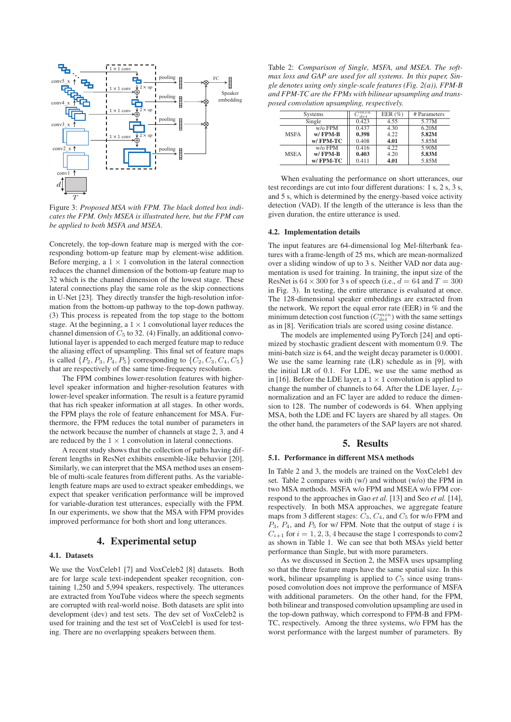

Figure 3: *Proposed MSA with FPM. The black dotted box indicates the FPM. Only MSEA is illustrated here, but the FPM can be applied to both MSFA and MSEA.*

Concretely, the top-down feature map is merged with the corresponding bottom-up feature map by element-wise addition. Before merging, a  $1 \times 1$  convolution in the lateral connection reduces the channel dimension of the bottom-up feature map to 32 which is the channel dimension of the lowest stage. These lateral connections play the same role as the skip connections in U-Net [23]. They directly transfer the high-resolution information from the bottom-up pathway to the top-down pathway. (3) This process is repeated from the top stage to the bottom stage. At the beginning, a  $1 \times 1$  convolutional layer reduces the channel dimension of  $C_5$  to 32. (4) Finally, an additional convolutional layer is appended to each merged feature map to reduce the aliasing effect of upsampling. This final set of feature maps is called  $\{P_2, P_3, P_4, P_5\}$  corresponding to  $\{C_2, C_3, C_4, C_5\}$ that are respectively of the same time-frequency resolution.

The FPM combines lower-resolution features with higherlevel speaker information and higher-resolution features with lower-level speaker information. The result is a feature pyramid that has rich speaker information at all stages. In other words, the FPM plays the role of feature enhancement for MSA. Furthermore, the FPM reduces the total number of parameters in the network because the number of channels at stage 2, 3, and 4 are reduced by the  $1 \times 1$  convolution in lateral connections.

A recent study shows that the collection of paths having different lengths in ResNet exhibits ensemble-like behavior [20]. Similarly, we can interpret that the MSA method uses an ensemble of multi-scale features from different paths. As the variablelength feature maps are used to extract speaker embeddings, we expect that speaker verification performance will be improved for variable-duration test utterances, especially with the FPM. In our experiments, we show that the MSA with FPM provides improved performance for both short and long utterances.

# 4. Experimental setup

## 4.1. Datasets

We use the VoxCeleb1 [7] and VoxCeleb2 [8] datasets. Both are for large scale text-independent speaker recognition, containing 1,250 and 5,994 speakers, respectively. The utterances are extracted from YouTube videos where the speech segments are corrupted with real-world noise. Both datasets are split into development (dev) and test sets. The dev set of VoxCeleb2 is used for training and the test set of VoxCeleb1 is used for testing. There are no overlapping speakers between them.

Table 2: *Comparison of Single, MSFA, and MSEA. The softmax loss and GAP are used for all systems. In this paper, Single denotes using only single-scale features (Fig. 2(a)), FPM-B and FPM-TC are the FPMs with bilinear upsampling and transposed convolution upsampling, respectively.*

| Systems     |                   | , min<br>det | EER $(\%)$ | # Parameters |  |
|-------------|-------------------|--------------|------------|--------------|--|
| Single      |                   | 0.423        | 4.55       | 5.77M        |  |
|             | $w$ / $\circ$ FPM | 0.437        | 4.30       | 6.20M        |  |
| <b>MSFA</b> | $w/$ FPM-B        | 0.398        | 4.22       | 5.82M        |  |
|             | w/FPM-TC          | 0.408        | 4.01       | 5.85M        |  |
|             | $w$ / $\circ$ FPM | 0.416        | 4.22       | 5.90M        |  |
| <b>MSEA</b> | $w/$ FPM-B        | 0.403        | 4.20       | 5.83M        |  |
|             | w/FPM-TC          | 0.411        | 4.01       | 5.85M        |  |

When evaluating the performance on short utterances, our test recordings are cut into four different durations: 1 s, 2 s, 3 s, and 5 s, which is determined by the energy-based voice activity detection (VAD). If the length of the utterance is less than the given duration, the entire utterance is used.

#### 4.2. Implementation details

The input features are 64-dimensional log Mel-filterbank features with a frame-length of 25 ms, which are mean-normalized over a sliding window of up to 3 s. Neither VAD nor data augmentation is used for training. In training, the input size of the ResNet is  $64 \times 300$  for 3 s of speech (i.e.,  $d = 64$  and  $T = 300$ in Fig. 3). In testing, the entire utterance is evaluated at once. The 128-dimensional speaker embeddings are extracted from the network. We report the equal error rate (EER) in % and the minimum detection cost function  $(C_{det}^{min})$  with the same settings as in [8]. Verification trials are scored using cosine distance.

The models are implemented using PyTorch [24] and optimized by stochastic gradient descent with momentum 0.9. The mini-batch size is 64, and the weight decay parameter is 0.0001. We use the same learning rate (LR) schedule as in [9], with the initial LR of 0.1. For LDE, we use the same method as in [16]. Before the LDE layer, a  $1 \times 1$  convolution is applied to change the number of channels to 64. After the LDE layer,  $L_2$ normalization and an FC layer are added to reduce the dimension to 128. The number of codewords is 64. When applying MSA, both the LDE and FC layers are shared by all stages. On the other hand, the parameters of the SAP layers are not shared.

# 5. Results

#### 5.1. Performance in different MSA methods

In Table 2 and 3, the models are trained on the VoxCeleb1 dev set. Table 2 compares with (w/) and without (w/o) the FPM in two MSA methods. MSFA w/o FPM and MSEA w/o FPM correspond to the approaches in Gao *et al.* [13] and Seo *et al.* [14], respectively. In both MSA approaches, we aggregate feature maps from 3 different stages:  $C_3$ ,  $C_4$ , and  $C_5$  for w/o FPM and  $P_3$ ,  $P_4$ , and  $P_5$  for w/ FPM. Note that the output of stage i is  $C_{i+1}$  for  $i = 1, 2, 3, 4$  because the stage 1 corresponds to conv2 as shown in Table 1. We can see that both MSAs yield better performance than Single, but with more parameters.

As we discussed in Section 2, the MSFA uses upsampling so that the three feature maps have the same spatial size. In this work, bilinear upsampling is applied to  $C_5$  since using transposed convolution does not improve the performance of MSFA with additional parameters. On the other hand, for the FPM, both bilinear and transposed convolution upsampling are used in the top-down pathway, which correspond to FPM-B and FPM-TC, respectively. Among the three systems, w/o FPM has the worst performance with the largest number of parameters. By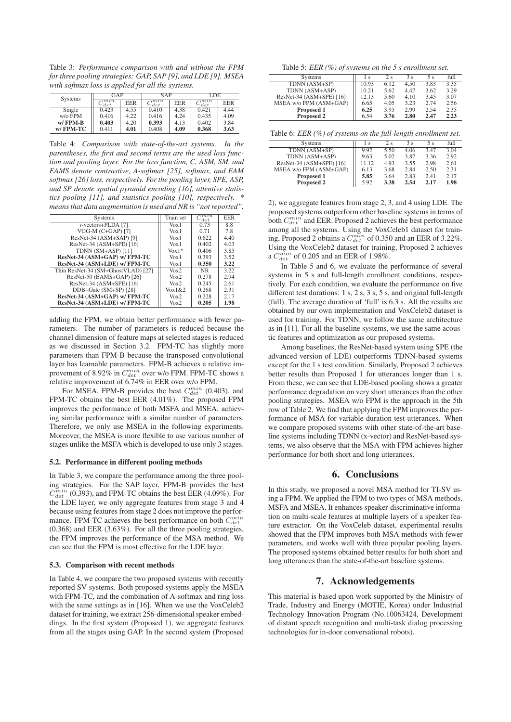Table 3: *Performance comparison with and without the FPM for three pooling strategies: GAP, SAP [9], and LDE [9]. MSEA with softmax loss is applied for all the systems.*

| Systems           | GAP                |            | SAP         |            | LDE         |            |
|-------------------|--------------------|------------|-------------|------------|-------------|------------|
|                   | $\lnot min$<br>det | <b>EER</b> | nnin<br>det | <b>EER</b> | 7min<br>det | <b>EER</b> |
| Single            | 0.423              | 4.55       | 0.410       | 4.38       | 0.421       | 4.44       |
| $w$ / $\circ$ FPM | 0.416              | 4.22       | 0.416       | 4.24       | 0.435       | 4.09       |
| $W/$ FPM-B        | 0.403              | 4.20       | 0.393       | 4.13       | 0.402       | 3.84       |
| w/FPM-TC          | 0.411              | 4.01       | 0.408       | 4.09       | 0.368       | 3.63       |

Table 4: *Comparison with state-of-the-art systems. In the parentheses, the first and second terms are the used loss function and pooling layer. For the loss function, C, ASM, SM, and EAMS denote contrastive, A-softmax [25], softmax, and EAM softmax [26] loss, respectively. For the pooling layer, SPE, ASP, and SP denote spatial pyramid encoding [16], attentive statistics pooling [11], and statistics pooling [10], respectively. \* means that data augmentation is used and NR is "not reported".*

| <b>Systems</b>                     | Train set           | $\lnot min$<br>'det | <b>EER</b> |
|------------------------------------|---------------------|---------------------|------------|
| $i$ -vectors+PLDA [7]              | $V_0x1$             | 0.73                | 8.8        |
| VGG-M $(C+GAP)$ [7]                | $V_0x1$             | 0.71                | 7.8        |
| ResNet-34 (ASM+SAP) [9]            | $V_0x1$             | 0.622               | 4.40       |
| ResNet-34 (ASM+SPE) [16]           | $V_0x1$             | 0.402               | 4.03       |
| TDNN $(SM+ASP)$ [11]               | $\text{Vox}1*$      | 0.406               | 3.85       |
| ResNet-34 (ASM+GAP) w/ FPM-TC      | $V_0x1$             | 0.393               | 3.52       |
| ResNet-34 (ASM+LDE) w/ FPM-TC      | $V_0x1$             | 0.350               | 3.22       |
| Thin ResNet-34 (SM+GhostVLAD) [27] | Vox2                | <b>NR</b>           | 3.22       |
| ResNet-50 (EAMS+GAP) [26]          | $V_0x2$             | 0.278               | 2.94       |
| ResNet-34 (ASM+SPE) [16]           | $V_0x2$             | 0.245               | 2.61       |
| $DDB+Gate(SM+SP)$ [28]             | $\sqrt{\alpha}$ 1&2 | 0.268               | 2.31       |
| ResNet-34 (ASM+GAP) w/ FPM-TC      | $V_0x2$             | 0.228               | 2.17       |
| ResNet-34 (ASM+LDE) w/ FPM-TC      | $V_0x2$             | 0.205               | 1.98       |

adding the FPM, we obtain better performance with fewer parameters. The number of parameters is reduced because the channel dimension of feature maps at selected stages is reduced as we discussed in Section 3.2. FPM-TC has slightly more parameters than FPM-B because the transposed convolutional layer has learnable parameters. FPM-B achieves a relative improvement of 8.92% in  $C_{det}^{min}$  over w/o FPM. FPM-TC shows a relative improvement of 6.74% in EER over w/o FPM.

For MSEA, FPM-B provides the best  $C_{det}^{min}$  (0.403), and FPM-TC obtains the best EER (4.01%). The proposed FPM improves the performance of both MSFA and MSEA, achieving similar performance with a similar number of parameters. Therefore, we only use MSEA in the following experiments. Moreover, the MSEA is more flexible to use various number of stages unlike the MSFA which is developed to use only 3 stages.

#### 5.2. Performance in different pooling methods

In Table 3, we compare the performance among the three pooling strategies. For the SAP layer, FPM-B provides the best  $\overline{C}_{det}^{min}$  (0.393), and FPM-TC obtains the best EER (4.09%). For the LDE layer, we only aggregate features from stage 3 and 4 because using features from stage 2 does not improve the performance. FPM-TC achieves the best performance on both  $C_{det}^{min}$ (0.368) and EER (3.63%). For all the three pooling strategies, the FPM improves the performance of the MSA method. We can see that the FPM is most effective for the LDE layer.

### 5.3. Comparison with recent methods

In Table 4, we compare the two proposed systems with recently reported SV systems. Both proposed systems apply the MSEA with FPM-TC, and the combination of A-softmax and ring loss with the same settings as in [16]. When we use the VoxCeleb2 dataset for training, we extract 256-dimensional speaker embeddings. In the first system (Proposed 1), we aggregate features from all the stages using GAP. In the second system (Proposed

| Table 5: EER $(\%)$ of systems on the 5 s enrollment set. |  |
|-----------------------------------------------------------|--|
|-----------------------------------------------------------|--|

| <b>Systems</b>           | Ιs    | 2s   | 3 s  | 5 s  | full |
|--------------------------|-------|------|------|------|------|
| TDNN (ASM+SP)            | 10.93 | 6.12 | 4.50 | 3.83 | 3.35 |
| TDNN (ASM+ASP)           | 10.21 | 5.62 | 4.47 | 3.62 | 3.29 |
| ResNet-34 (ASM+SPE) [16] | 12.13 | 5.60 | 4.10 | 3.45 | 3.07 |
| MSEA w/o FPM (ASM+GAP)   | 6.65  | 4.05 | 3.23 | 2.74 | 2.56 |
| Proposed 1               | 6.25  | 3.95 | 2.99 | 2.54 | 2.35 |
| <b>Proposed 2</b>        | 6.54  | 3.76 | 2.80 | 2.47 | 2.23 |

Table 6: *EER (%) of systems on the full-length enrollment set.*

| Systems                  | Ιs    | 2 <sub>s</sub> | 3s   | 5 s  | full |
|--------------------------|-------|----------------|------|------|------|
| TDNN (ASM+SP)            | 9.92  | 5.50           | 4.06 | 3.47 | 3.04 |
| TDNN (ASM+ASP)           | 9.63  | 5.02           | 3.87 | 3.36 | 2.92 |
| ResNet-34 (ASM+SPE) [16] | 11.12 | 4.93           | 3.55 | 2.98 | 2.61 |
| MSEA w/o FPM (ASM+GAP)   | 6.13  | 3.68           | 2.84 | 2.50 | 2.31 |
| Proposed 1               | 5.85  | 3.64           | 2.83 | 2.41 | 2.17 |
| <b>Proposed 2</b>        | 5.92  | 3.38           | 2.54 | 2.17 | 1.98 |

2), we aggregate features from stage 2, 3, and 4 using LDE. The proposed systems outperform other baseline systems in terms of both  $C_{det}^{min}$  and EER. Proposed 2 achieves the best performance among all the systems. Using the VoxCeleb1 dataset for training, Proposed 2 obtains a  $C_{det}^{min}$  of 0.350 and an EER of 3.22%. Using the VoxCeleb2 dataset for training, Proposed 2 achieves a  $C_{det}^{min}$  of 0.205 and an EER of 1.98%.

In Table 5 and 6, we evaluate the performance of several systems in 5 s and full-length enrollment conditions, respectively. For each condition, we evaluate the performance on five different test durations: 1 s, 2 s, 3 s, 5 s, and original full-length (full). The average duration of 'full' is 6.3 s. All the results are obtained by our own implementation and VoxCeleb2 dataset is used for training. For TDNN, we follow the same architecture as in [11]. For all the baseline systems, we use the same acoustic features and optimization as our proposed systems.

Among baselines, the ResNet-based system using SPE (the advanced version of LDE) outperforms TDNN-based systems except for the 1 s test condition. Similarly, Proposed 2 achieves better results than Proposed 1 for utterances longer than 1 s. From these, we can see that LDE-based pooling shows a greater performance degradation on very short utterances than the other pooling strategies. MSEA w/o FPM is the approach in the 5th row of Table 2. We find that applying the FPM improves the performance of MSA for variable-duration test utterances. When we compare proposed systems with other state-of-the-art baseline systems including TDNN (x-vector) and ResNet-based systems, we also observe that the MSA with FPM achieves higher performance for both short and long utterances.

# 6. Conclusions

In this study, we proposed a novel MSA method for TI-SV using a FPM. We applied the FPM to two types of MSA methods, MSFA and MSEA. It enhances speaker-discriminative information on multi-scale features at multiple layers of a speaker feature extractor. On the VoxCeleb dataset, experimental results showed that the FPM improves both MSA methods with fewer parameters, and works well with three popular pooling layers. The proposed systems obtained better results for both short and long utterances than the state-of-the-art baseline systems.

# 7. Acknowledgements

This material is based upon work supported by the Ministry of Trade, Industry and Energy (MOTIE, Korea) under Industrial Technology Innovation Program (No.10063424, Development of distant speech recognition and multi-task dialog processing technologies for in-door conversational robots).